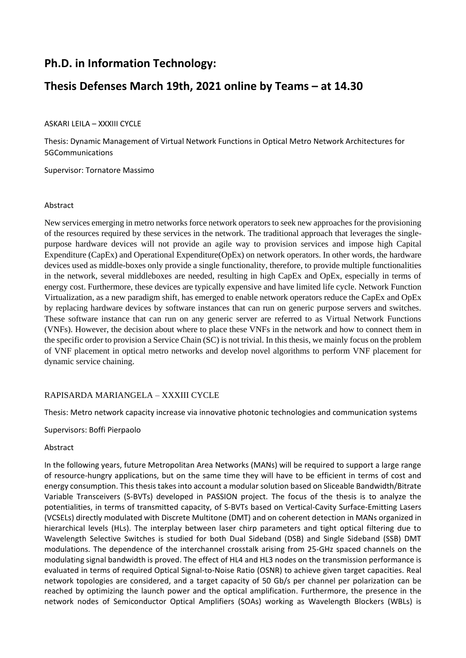# **Ph.D. in Information Technology:**

## **Thesis Defenses March 19th, 2021 online by Teams – at 14.30**

### ASKARI LEILA – XXXIII CYCLE

Thesis: Dynamic Management of Virtual Network Functions in Optical Metro Network Architectures for 5GCommunications

Supervisor: Tornatore Massimo

#### Abstract

New services emerging in metro networks force network operators to seek new approaches for the provisioning of the resources required by these services in the network. The traditional approach that leverages the singlepurpose hardware devices will not provide an agile way to provision services and impose high Capital Expenditure (CapEx) and Operational Expenditure(OpEx) on network operators. In other words, the hardware devices used as middle-boxes only provide a single functionality, therefore, to provide multiple functionalities in the network, several middleboxes are needed, resulting in high CapEx and OpEx, especially in terms of energy cost. Furthermore, these devices are typically expensive and have limited life cycle. Network Function Virtualization, as a new paradigm shift, has emerged to enable network operators reduce the CapEx and OpEx by replacing hardware devices by software instances that can run on generic purpose servers and switches. These software instance that can run on any generic server are referred to as Virtual Network Functions (VNFs). However, the decision about where to place these VNFs in the network and how to connect them in the specific order to provision a Service Chain (SC) is not trivial. In this thesis, we mainly focus on the problem of VNF placement in optical metro networks and develop novel algorithms to perform VNF placement for dynamic service chaining.

## RAPISARDA MARIANGELA – XXXIII CYCLE

Thesis: Metro network capacity increase via innovative photonic technologies and communication systems

Supervisors: Boffi Pierpaolo

#### Abstract

In the following years, future Metropolitan Area Networks (MANs) will be required to support a large range of resource-hungry applications, but on the same time they will have to be efficient in terms of cost and energy consumption. This thesis takes into account a modular solution based on Sliceable Bandwidth/Bitrate Variable Transceivers (S-BVTs) developed in PASSION project. The focus of the thesis is to analyze the potentialities, in terms of transmitted capacity, of S-BVTs based on Vertical-Cavity Surface-Emitting Lasers (VCSELs) directly modulated with Discrete Multitone (DMT) and on coherent detection in MANs organized in hierarchical levels (HLs). The interplay between laser chirp parameters and tight optical filtering due to Wavelength Selective Switches is studied for both Dual Sideband (DSB) and Single Sideband (SSB) DMT modulations. The dependence of the interchannel crosstalk arising from 25-GHz spaced channels on the modulating signal bandwidth is proved. The effect of HL4 and HL3 nodes on the transmission performance is evaluated in terms of required Optical Signal-to-Noise Ratio (OSNR) to achieve given target capacities. Real network topologies are considered, and a target capacity of 50 Gb/s per channel per polarization can be reached by optimizing the launch power and the optical amplification. Furthermore, the presence in the network nodes of Semiconductor Optical Amplifiers (SOAs) working as Wavelength Blockers (WBLs) is